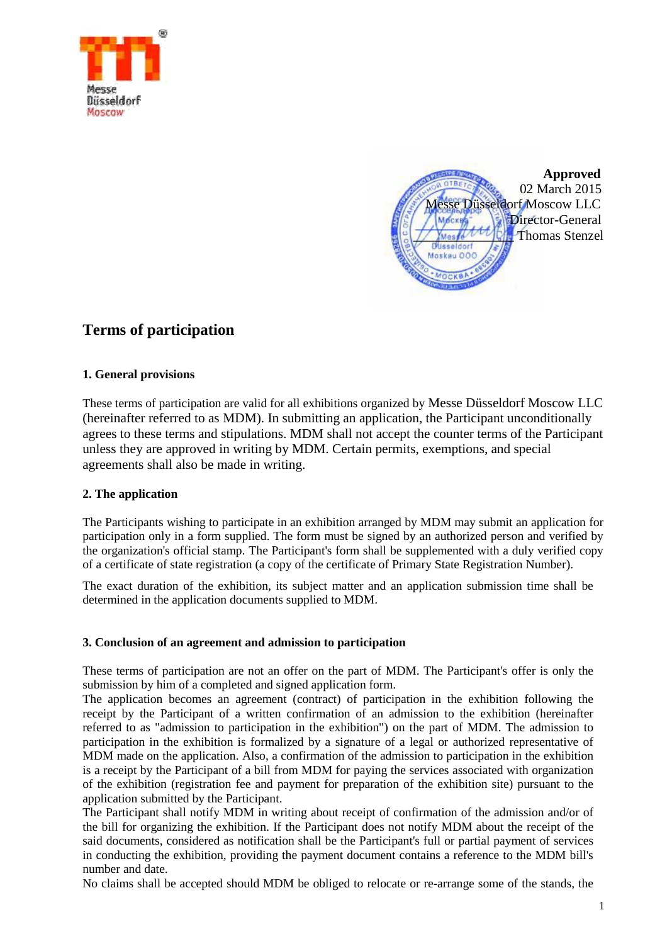



# **Terms of participation**

## **1. General provisions**

These terms of participation are valid for all exhibitions organized by Messe Düsseldorf Moscow LLC (hereinafter referred to as MDM). In submitting an application, the Participant unconditionally agrees to these terms and stipulations. MDM shall not accept the counter terms of the Participant unless they are approved in writing by MDM. Certain permits, exemptions, and special agreements shall also be made in writing.

# **2. The application**

The Participants wishing to participate in an exhibition arranged by MDM may submit an application for participation only in a form supplied. The form must be signed by an authorized person and verified by the organization's official stamp. The Participant's form shall be supplemented with a duly verified copy of a certificate of state registration (a copy of the certificate of Primary State Registration Number).

The exact duration of the exhibition, its subject matter and an application submission time shall be determined in the application documents supplied to MDM.

#### **3. Conclusion of an agreement and admission to participation**

These terms of participation are not an offer on the part of MDM. The Participant's offer is only the submission by him of a completed and signed application form.

The application becomes an agreement (contract) of participation in the exhibition following the receipt by the Participant of a written confirmation of an admission to the exhibition (hereinafter referred to as "admission to participation in the exhibition") on the part of MDM. The admission to participation in the exhibition is formalized by a signature of a legal or authorized representative of MDM made on the application. Also, a confirmation of the admission to participation in the exhibition is a receipt by the Participant of a bill from MDM for paying the services associated with organization of the exhibition (registration fee and payment for preparation of the exhibition site) pursuant to the application submitted by the Participant.

The Participant shall notify MDM in writing about receipt of confirmation of the admission and/or of the bill for organizing the exhibition. If the Participant does not notify MDM about the receipt of the said documents, considered as notification shall be the Participant's full or partial payment of services in conducting the exhibition, providing the payment document contains a reference to the MDM bill's number and date.

No claims shall be accepted should MDM be obliged to relocate or re-arrange some of the stands, the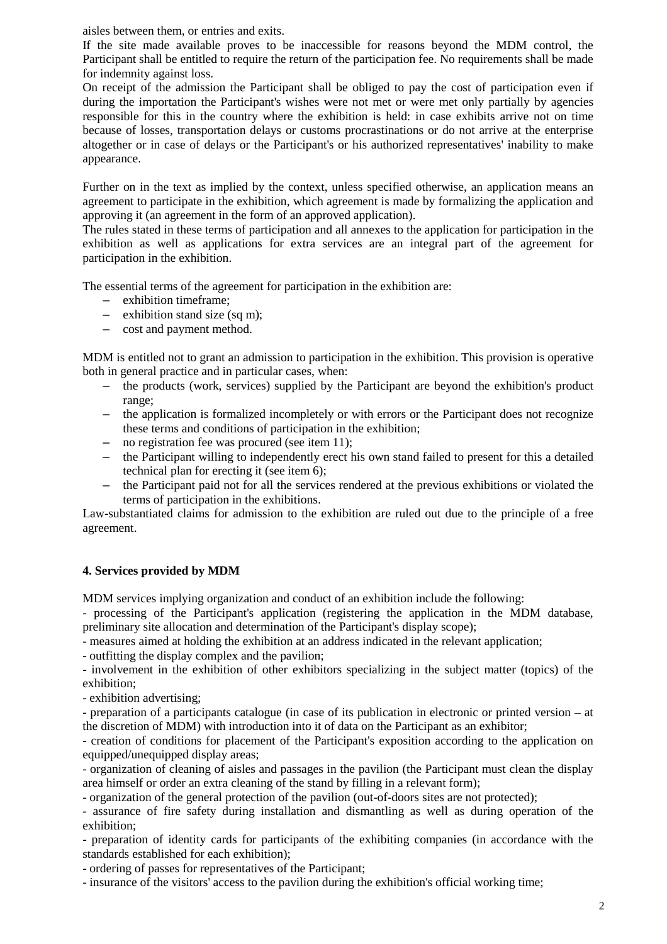aisles between them, or entries and exits.

If the site made available proves to be inaccessible for reasons beyond the MDM control, the Participant shall be entitled to require the return of the participation fee. No requirements shall be made for indemnity against loss.

On receipt of the admission the Participant shall be obliged to pay the cost of participation even if during the importation the Participant's wishes were not met or were met only partially by agencies responsible for this in the country where the exhibition is held: in case exhibits arrive not on time because of losses, transportation delays or customs procrastinations or do not arrive at the enterprise altogether or in case of delays or the Participant's or his authorized representatives' inability to make appearance.

Further on in the text as implied by the context, unless specified otherwise, an application means an agreement to participate in the exhibition, which agreement is made by formalizing the application and approving it (an agreement in the form of an approved application).

The rules stated in these terms of participation and all annexes to the application for participation in the exhibition as well as applications for extra services are an integral part of the agreement for participation in the exhibition.

The essential terms of the agreement for participation in the exhibition are:

- exhibition timeframe;
- $-$  exhibition stand size (sq m):
- cost and payment method.

MDM is entitled not to grant an admission to participation in the exhibition. This provision is operative both in general practice and in particular cases, when:

- the products (work, services) supplied by the Participant are beyond the exhibition's product range;
- the application is formalized incompletely or with errors or the Participant does not recognize these terms and conditions of participation in the exhibition;
- no registration fee was procured (see item 11);
- the Participant willing to independently erect his own stand failed to present for this a detailed technical plan for erecting it (see item 6);
- the Participant paid not for all the services rendered at the previous exhibitions or violated the terms of participation in the exhibitions.

Law-substantiated claims for admission to the exhibition are ruled out due to the principle of a free agreement.

# **4. Services provided by MDM**

MDM services implying organization and conduct of an exhibition include the following:

- processing of the Participant's application (registering the application in the MDM database, preliminary site allocation and determination of the Participant's display scope);

- measures aimed at holding the exhibition at an address indicated in the relevant application;

- outfitting the display complex and the pavilion;

- involvement in the exhibition of other exhibitors specializing in the subject matter (topics) of the exhibition;

- exhibition advertising;

- preparation of a participants catalogue (in case of its publication in electronic or printed version – at the discretion of MDM) with introduction into it of data on the Participant as an exhibitor;

- creation of conditions for placement of the Participant's exposition according to the application on equipped/unequipped display areas;

- organization of cleaning of aisles and passages in the pavilion (the Participant must clean the display area himself or order an extra cleaning of the stand by filling in a relevant form);

- organization of the general protection of the pavilion (out-of-doors sites are not protected);

- assurance of fire safety during installation and dismantling as well as during operation of the exhibition;

- preparation of identity cards for participants of the exhibiting companies (in accordance with the standards established for each exhibition);

- ordering of passes for representatives of the Participant;

- insurance of the visitors' access to the pavilion during the exhibition's official working time;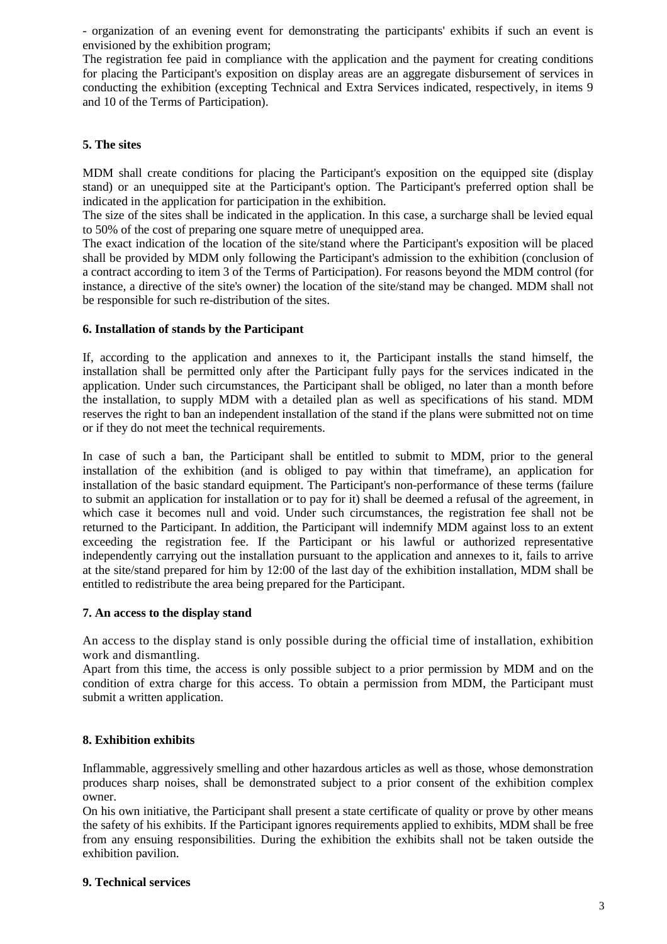- organization of an evening event for demonstrating the participants' exhibits if such an event is envisioned by the exhibition program;

The registration fee paid in compliance with the application and the payment for creating conditions for placing the Participant's exposition on display areas are an aggregate disbursement of services in conducting the exhibition (excepting Technical and Extra Services indicated, respectively, in items 9 and 10 of the Terms of Participation).

### **5. The sites**

MDM shall create conditions for placing the Participant's exposition on the equipped site (display stand) or an unequipped site at the Participant's option. The Participant's preferred option shall be indicated in the application for participation in the exhibition.

The size of the sites shall be indicated in the application. In this case, a surcharge shall be levied equal to 50% of the cost of preparing one square metre of unequipped area.

The exact indication of the location of the site/stand where the Participant's exposition will be placed shall be provided by MDM only following the Participant's admission to the exhibition (conclusion of a contract according to item 3 of the Terms of Participation). For reasons beyond the MDM control (for instance, a directive of the site's owner) the location of the site/stand may be changed. MDM shall not be responsible for such re-distribution of the sites.

# **6. Installation of stands by the Participant**

If, according to the application and annexes to it, the Participant installs the stand himself, the installation shall be permitted only after the Participant fully pays for the services indicated in the application. Under such circumstances, the Participant shall be obliged, no later than a month before the installation, to supply MDM with a detailed plan as well as specifications of his stand. MDM reserves the right to ban an independent installation of the stand if the plans were submitted not on time or if they do not meet the technical requirements.

In case of such a ban, the Participant shall be entitled to submit to MDM, prior to the general installation of the exhibition (and is obliged to pay within that timeframe), an application for installation of the basic standard equipment. The Participant's non-performance of these terms (failure to submit an application for installation or to pay for it) shall be deemed a refusal of the agreement, in which case it becomes null and void. Under such circumstances, the registration fee shall not be returned to the Participant. In addition, the Participant will indemnify MDM against loss to an extent exceeding the registration fee. If the Participant or his lawful or authorized representative independently carrying out the installation pursuant to the application and annexes to it, fails to arrive at the site/stand prepared for him by 12:00 of the last day of the exhibition installation, MDM shall be entitled to redistribute the area being prepared for the Participant.

#### **7. An access to the display stand**

An access to the display stand is only possible during the official time of installation, exhibition work and dismantling.

Apart from this time, the access is only possible subject to a prior permission by MDM and on the condition of extra charge for this access. To obtain a permission from MDM, the Participant must submit a written application.

# **8. Exhibition exhibits**

Inflammable, aggressively smelling and other hazardous articles as well as those, whose demonstration produces sharp noises, shall be demonstrated subject to a prior consent of the exhibition complex owner.

On his own initiative, the Participant shall present a state certificate of quality or prove by other means the safety of his exhibits. If the Participant ignores requirements applied to exhibits, MDM shall be free from any ensuing responsibilities. During the exhibition the exhibits shall not be taken outside the exhibition pavilion.

#### **9. Technical services**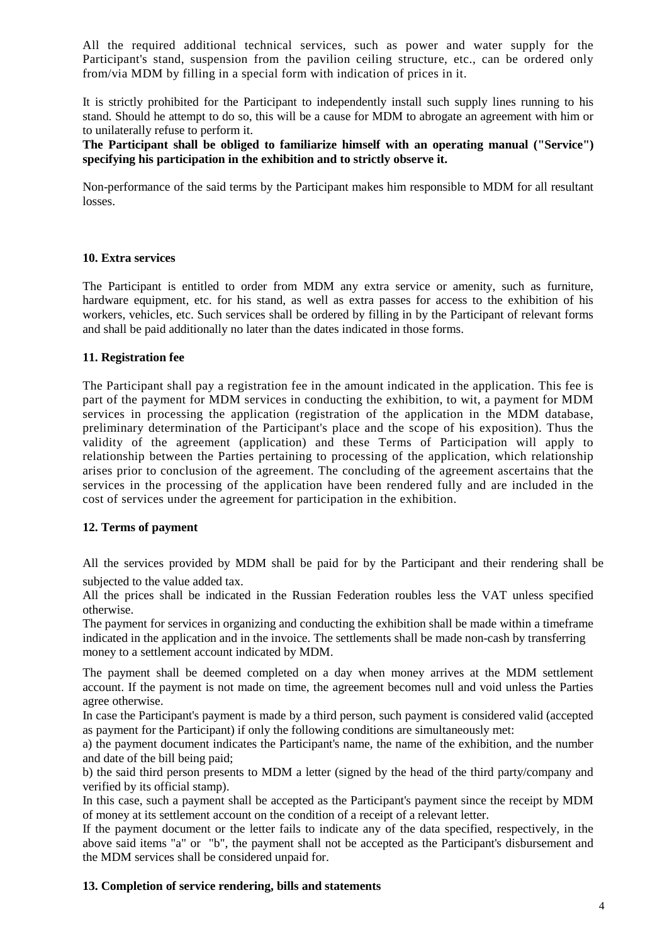All the required additional technical services, such as power and water supply for the Participant's stand, suspension from the pavilion ceiling structure, etc., can be ordered only from/via MDM by filling in a special form with indication of prices in it.

It is strictly prohibited for the Participant to independently install such supply lines running to his stand. Should he attempt to do so, this will be a cause for MDM to abrogate an agreement with him or to unilaterally refuse to perform it.

**The Participant shall be obliged to familiarize himself with an operating manual ("Service") specifying his participation in the exhibition and to strictly observe it.** 

Non-performance of the said terms by the Participant makes him responsible to MDM for all resultant losses.

#### **10. Extra services**

The Participant is entitled to order from MDM any extra service or amenity, such as furniture, hardware equipment, etc. for his stand, as well as extra passes for access to the exhibition of his workers, vehicles, etc. Such services shall be ordered by filling in by the Participant of relevant forms and shall be paid additionally no later than the dates indicated in those forms.

#### **11. Registration fee**

The Participant shall pay a registration fee in the amount indicated in the application. This fee is part of the payment for MDM services in conducting the exhibition, to wit, a payment for MDM services in processing the application (registration of the application in the MDM database, preliminary determination of the Participant's place and the scope of his exposition). Thus the validity of the agreement (application) and these Terms of Participation will apply to relationship between the Parties pertaining to processing of the application, which relationship arises prior to conclusion of the agreement. The concluding of the agreement ascertains that the services in the processing of the application have been rendered fully and are included in the cost of services under the agreement for participation in the exhibition.

#### **12. Terms of payment**

All the services provided by MDM shall be paid for by the Participant and their rendering shall be subjected to the value added tax.

All the prices shall be indicated in the Russian Federation roubles less the VAT unless specified otherwise.

The payment for services in organizing and conducting the exhibition shall be made within a timeframe indicated in the application and in the invoice. The settlements shall be made non-cash by transferring money to a settlement account indicated by MDM.

The payment shall be deemed completed on a day when money arrives at the MDM settlement account. If the payment is not made on time, the agreement becomes null and void unless the Parties agree otherwise.

In case the Participant's payment is made by a third person, such payment is considered valid (accepted as payment for the Participant) if only the following conditions are simultaneously met:

a) the payment document indicates the Participant's name, the name of the exhibition, and the number and date of the bill being paid;

b) the said third person presents to MDM a letter (signed by the head of the third party/company and verified by its official stamp).

In this case, such a payment shall be accepted as the Participant's payment since the receipt by MDM of money at its settlement account on the condition of a receipt of a relevant letter.

If the payment document or the letter fails to indicate any of the data specified, respectively, in the above said items "a" or "b", the payment shall not be accepted as the Participant's disbursement and the MDM services shall be considered unpaid for.

#### **13. Completion of service rendering, bills and statements**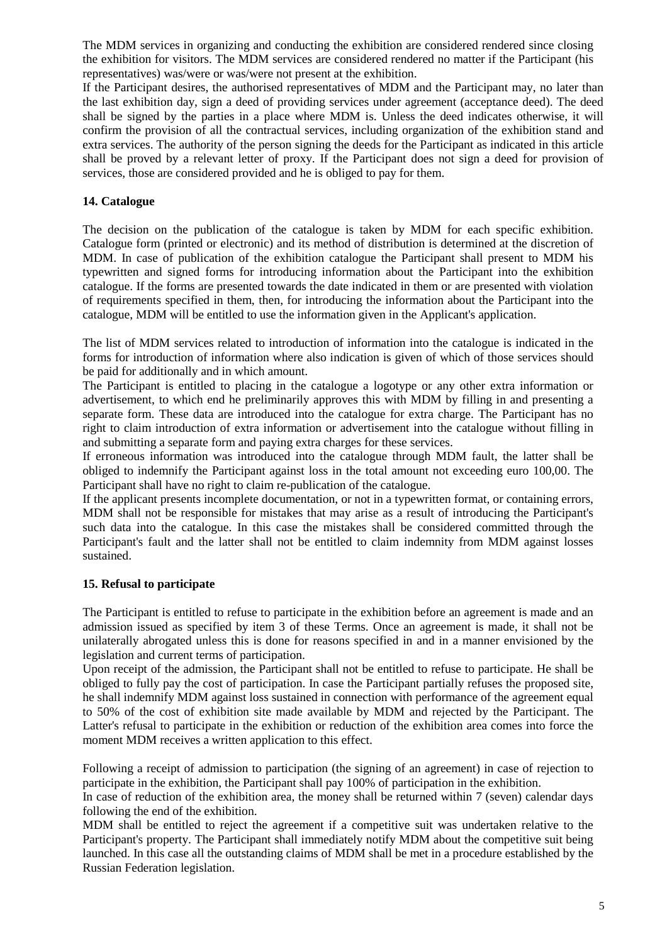The MDM services in organizing and conducting the exhibition are considered rendered since closing the exhibition for visitors. The MDM services are considered rendered no matter if the Participant (his representatives) was/were or was/were not present at the exhibition.

If the Participant desires, the authorised representatives of MDM and the Participant may, no later than the last exhibition day, sign a deed of providing services under agreement (acceptance deed). The deed shall be signed by the parties in a place where MDM is. Unless the deed indicates otherwise, it will confirm the provision of all the contractual services, including organization of the exhibition stand and extra services. The authority of the person signing the deeds for the Participant as indicated in this article shall be proved by a relevant letter of proxy. If the Participant does not sign a deed for provision of services, those are considered provided and he is obliged to pay for them.

# **14. Catalogue**

The decision on the publication of the catalogue is taken by MDM for each specific exhibition. Catalogue form (printed or electronic) and its method of distribution is determined at the discretion of MDM. In case of publication of the exhibition catalogue the Participant shall present to MDM his typewritten and signed forms for introducing information about the Participant into the exhibition catalogue. If the forms are presented towards the date indicated in them or are presented with violation of requirements specified in them, then, for introducing the information about the Participant into the catalogue, MDM will be entitled to use the information given in the Applicant's application.

The list of MDM services related to introduction of information into the catalogue is indicated in the forms for introduction of information where also indication is given of which of those services should be paid for additionally and in which amount.

The Participant is entitled to placing in the catalogue a logotype or any other extra information or advertisement, to which end he preliminarily approves this with MDM by filling in and presenting a separate form. These data are introduced into the catalogue for extra charge. The Participant has no right to claim introduction of extra information or advertisement into the catalogue without filling in and submitting a separate form and paying extra charges for these services.

If erroneous information was introduced into the catalogue through MDM fault, the latter shall be obliged to indemnify the Participant against loss in the total amount not exceeding euro 100,00. The Participant shall have no right to claim re-publication of the catalogue.

If the applicant presents incomplete documentation, or not in a typewritten format, or containing errors, MDM shall not be responsible for mistakes that may arise as a result of introducing the Participant's such data into the catalogue. In this case the mistakes shall be considered committed through the Participant's fault and the latter shall not be entitled to claim indemnity from MDM against losses sustained.

# **15. Refusal to participate**

The Participant is entitled to refuse to participate in the exhibition before an agreement is made and an admission issued as specified by item 3 of these Terms. Once an agreement is made, it shall not be unilaterally abrogated unless this is done for reasons specified in and in a manner envisioned by the legislation and current terms of participation.

Upon receipt of the admission, the Participant shall not be entitled to refuse to participate. He shall be obliged to fully pay the cost of participation. In case the Participant partially refuses the proposed site, he shall indemnify MDM against loss sustained in connection with performance of the agreement equal to 50% of the cost of exhibition site made available by MDM and rejected by the Participant. The Latter's refusal to participate in the exhibition or reduction of the exhibition area comes into force the moment MDM receives a written application to this effect.

Following a receipt of admission to participation (the signing of an agreement) in case of rejection to participate in the exhibition, the Participant shall pay 100% of participation in the exhibition.

In case of reduction of the exhibition area, the money shall be returned within 7 (seven) calendar days following the end of the exhibition.

MDM shall be entitled to reject the agreement if a competitive suit was undertaken relative to the Participant's property. The Participant shall immediately notify MDM about the competitive suit being launched. In this case all the outstanding claims of MDM shall be met in a procedure established by the Russian Federation legislation.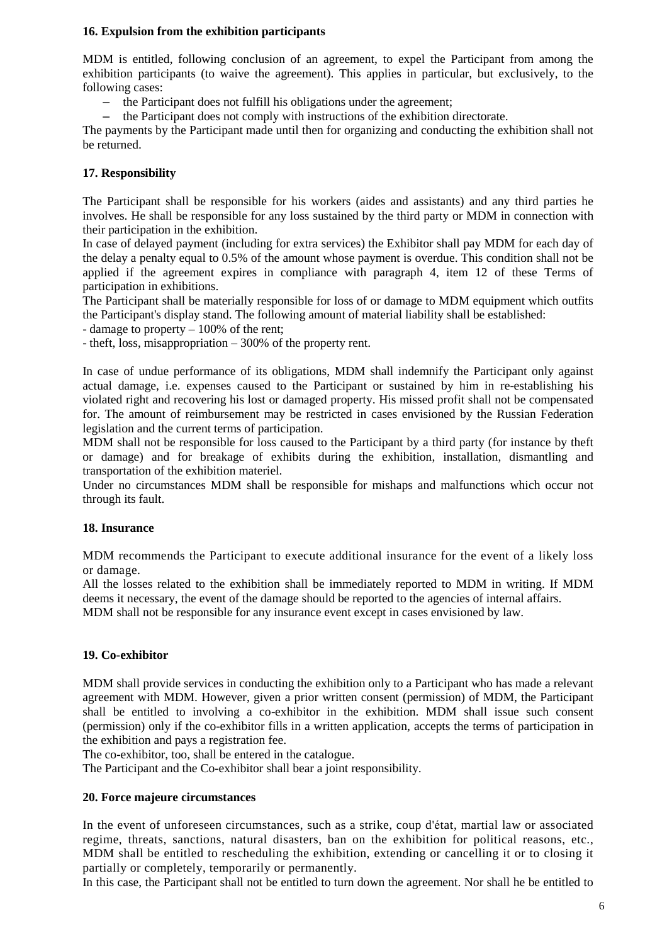## **16. Expulsion from the exhibition participants**

MDM is entitled, following conclusion of an agreement, to expel the Participant from among the exhibition participants (to waive the agreement). This applies in particular, but exclusively, to the following cases:

- the Participant does not fulfill his obligations under the agreement;
- the Participant does not comply with instructions of the exhibition directorate.

The payments by the Participant made until then for organizing and conducting the exhibition shall not be returned.

## **17. Responsibility**

The Participant shall be responsible for his workers (aides and assistants) and any third parties he involves. He shall be responsible for any loss sustained by the third party or MDM in connection with their participation in the exhibition.

In case of delayed payment (including for extra services) the Exhibitor shall pay MDM for each day of the delay a penalty equal to 0.5% of the amount whose payment is overdue. This condition shall not be applied if the agreement expires in compliance with paragraph 4, item 12 of these Terms of participation in exhibitions.

The Participant shall be materially responsible for loss of or damage to MDM equipment which outfits the Participant's display stand. The following amount of material liability shall be established:

- damage to property – 100% of the rent;

- theft, loss, misappropriation – 300% of the property rent.

In case of undue performance of its obligations, MDM shall indemnify the Participant only against actual damage, i.e. expenses caused to the Participant or sustained by him in re-establishing his violated right and recovering his lost or damaged property. His missed profit shall not be compensated for. The amount of reimbursement may be restricted in cases envisioned by the Russian Federation legislation and the current terms of participation.

MDM shall not be responsible for loss caused to the Participant by a third party (for instance by theft or damage) and for breakage of exhibits during the exhibition, installation, dismantling and transportation of the exhibition materiel.

Under no circumstances MDM shall be responsible for mishaps and malfunctions which occur not through its fault.

#### **18. Insurance**

MDM recommends the Participant to execute additional insurance for the event of a likely loss or damage.

All the losses related to the exhibition shall be immediately reported to MDM in writing. If MDM deems it necessary, the event of the damage should be reported to the agencies of internal affairs.

MDM shall not be responsible for any insurance event except in cases envisioned by law.

#### **19. Co-exhibitor**

MDM shall provide services in conducting the exhibition only to a Participant who has made a relevant agreement with MDM. However, given a prior written consent (permission) of MDM, the Participant shall be entitled to involving a co-exhibitor in the exhibition. MDM shall issue such consent (permission) only if the co-exhibitor fills in a written application, accepts the terms of participation in the exhibition and pays a registration fee.

The co-exhibitor, too, shall be entered in the catalogue.

The Participant and the Co-exhibitor shall bear a joint responsibility.

#### **20. Force majeure circumstances**

In the event of unforeseen circumstances, such as a strike, coup d'état, martial law or associated regime, threats, sanctions, natural disasters, ban on the exhibition for political reasons, etc., MDM shall be entitled to rescheduling the exhibition, extending or cancelling it or to closing it partially or completely, temporarily or permanently.

In this case, the Participant shall not be entitled to turn down the agreement. Nor shall he be entitled to